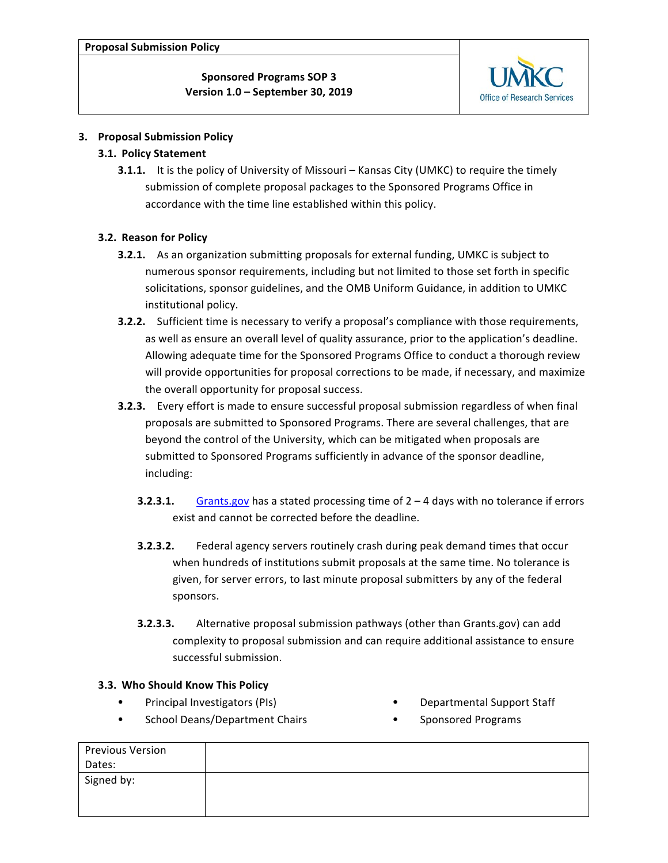

### **3. Proposal Submission Policy**

### **3.1. Policy Statement**

**3.1.1.** It is the policy of University of Missouri – Kansas City (UMKC) to require the timely submission of complete proposal packages to the Sponsored Programs Office in accordance with the time line established within this policy.

### **3.2. Reason for Policy**

- **3.2.1.** As an organization submitting proposals for external funding, UMKC is subject to numerous sponsor requirements, including but not limited to those set forth in specific solicitations, sponsor guidelines, and the OMB Uniform Guidance, in addition to UMKC institutional policy.
- **3.2.2.** Sufficient time is necessary to verify a proposal's compliance with those requirements, as well as ensure an overall level of quality assurance, prior to the application's deadline. Allowing adequate time for the Sponsored Programs Office to conduct a thorough review will provide opportunities for proposal corrections to be made, if necessary, and maximize the overall opportunity for proposal success.
- **3.2.3.** Every effort is made to ensure successful proposal submission regardless of when final proposals are submitted to Sponsored Programs. There are several challenges, that are beyond the control of the University, which can be mitigated when proposals are submitted to Sponsored Programs sufficiently in advance of the sponsor deadline, including:
	- **3.2.3.1.** Grants.gov has a stated processing time of 2 4 days with no tolerance if errors exist and cannot be corrected before the deadline.
	- **3.2.3.2.** Federal agency servers routinely crash during peak demand times that occur when hundreds of institutions submit proposals at the same time. No tolerance is given, for server errors, to last minute proposal submitters by any of the federal sponsors.
	- **3.2.3.3.** Alternative proposal submission pathways (other than Grants.gov) can add complexity to proposal submission and can require additional assistance to ensure successful submission.

### **3.3. Who Should Know This Policy**

- Principal Investigators (PIs)
- School Deans/Department Chairs
- Departmental Support Staff
- 
- Sponsored Programs

| <b>Previous Version</b> |  |
|-------------------------|--|
| Dates:                  |  |
| Signed by:              |  |
|                         |  |
|                         |  |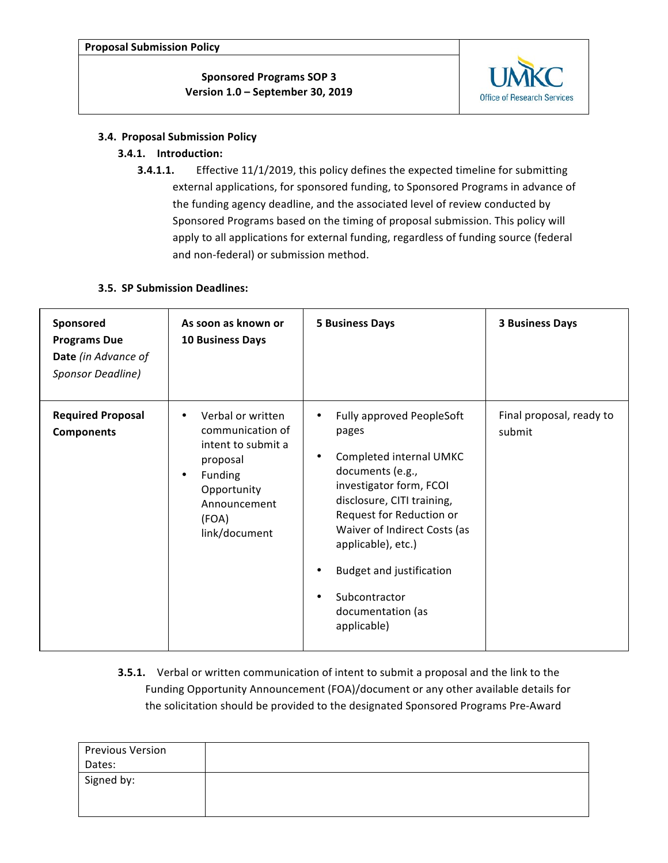**Proposal Submission Policy**

**Sponsored Programs SOP 3 Version 1.0 – September 30, 2019**



### **3.4. Proposal Submission Policy**

## **3.4.1. Introduction:**

**3.4.1.1.** Effective 11/1/2019, this policy defines the expected timeline for submitting external applications, for sponsored funding, to Sponsored Programs in advance of the funding agency deadline, and the associated level of review conducted by Sponsored Programs based on the timing of proposal submission. This policy will apply to all applications for external funding, regardless of funding source (federal and non-federal) or submission method.

### **3.5. SP Submission Deadlines:**

| Sponsored<br><b>Programs Due</b><br>Date (in Advance of<br>Sponsor Deadline) | As soon as known or<br><b>10 Business Days</b>                                                                                                                        | <b>5 Business Days</b>                                                                                                                                                                                                                                                                                                                                                  | <b>3 Business Days</b>             |
|------------------------------------------------------------------------------|-----------------------------------------------------------------------------------------------------------------------------------------------------------------------|-------------------------------------------------------------------------------------------------------------------------------------------------------------------------------------------------------------------------------------------------------------------------------------------------------------------------------------------------------------------------|------------------------------------|
| <b>Required Proposal</b><br><b>Components</b>                                | Verbal or written<br>$\bullet$<br>communication of<br>intent to submit a<br>proposal<br>Funding<br>$\bullet$<br>Opportunity<br>Announcement<br>(FOA)<br>link/document | <b>Fully approved PeopleSoft</b><br>$\bullet$<br>pages<br>Completed internal UMKC<br>$\bullet$<br>documents (e.g.,<br>investigator form, FCOI<br>disclosure, CITI training,<br>Request for Reduction or<br>Waiver of Indirect Costs (as<br>applicable), etc.)<br><b>Budget and justification</b><br>٠<br>Subcontractor<br>$\bullet$<br>documentation (as<br>applicable) | Final proposal, ready to<br>submit |

**3.5.1.** Verbal or written communication of intent to submit a proposal and the link to the Funding Opportunity Announcement (FOA)/document or any other available details for the solicitation should be provided to the designated Sponsored Programs Pre-Award

| <b>Previous Version</b> |  |
|-------------------------|--|
| Dates:                  |  |
| Signed by:              |  |
|                         |  |
|                         |  |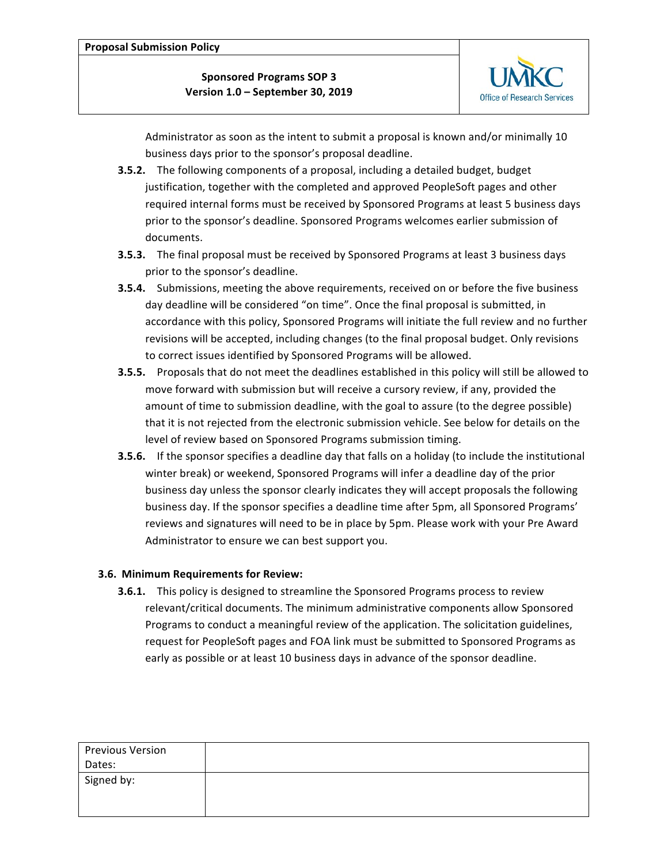

Administrator as soon as the intent to submit a proposal is known and/or minimally 10 business days prior to the sponsor's proposal deadline.

- **3.5.2.** The following components of a proposal, including a detailed budget, budget justification, together with the completed and approved PeopleSoft pages and other required internal forms must be received by Sponsored Programs at least 5 business days prior to the sponsor's deadline. Sponsored Programs welcomes earlier submission of documents.
- **3.5.3.** The final proposal must be received by Sponsored Programs at least 3 business days prior to the sponsor's deadline.
- **3.5.4.** Submissions, meeting the above requirements, received on or before the five business day deadline will be considered "on time". Once the final proposal is submitted, in accordance with this policy, Sponsored Programs will initiate the full review and no further revisions will be accepted, including changes (to the final proposal budget. Only revisions to correct issues identified by Sponsored Programs will be allowed.
- **3.5.5.** Proposals that do not meet the deadlines established in this policy will still be allowed to move forward with submission but will receive a cursory review, if any, provided the amount of time to submission deadline, with the goal to assure (to the degree possible) that it is not rejected from the electronic submission vehicle. See below for details on the level of review based on Sponsored Programs submission timing.
- **3.5.6.** If the sponsor specifies a deadline day that falls on a holiday (to include the institutional winter break) or weekend, Sponsored Programs will infer a deadline day of the prior business day unless the sponsor clearly indicates they will accept proposals the following business day. If the sponsor specifies a deadline time after 5pm, all Sponsored Programs' reviews and signatures will need to be in place by 5pm. Please work with your Pre Award Administrator to ensure we can best support you.

## **3.6. Minimum Requirements for Review:**

**3.6.1.** This policy is designed to streamline the Sponsored Programs process to review relevant/critical documents. The minimum administrative components allow Sponsored Programs to conduct a meaningful review of the application. The solicitation guidelines, request for PeopleSoft pages and FOA link must be submitted to Sponsored Programs as early as possible or at least 10 business days in advance of the sponsor deadline.

| <b>Previous Version</b> |  |
|-------------------------|--|
| Dates:                  |  |
| Signed by:              |  |
|                         |  |
|                         |  |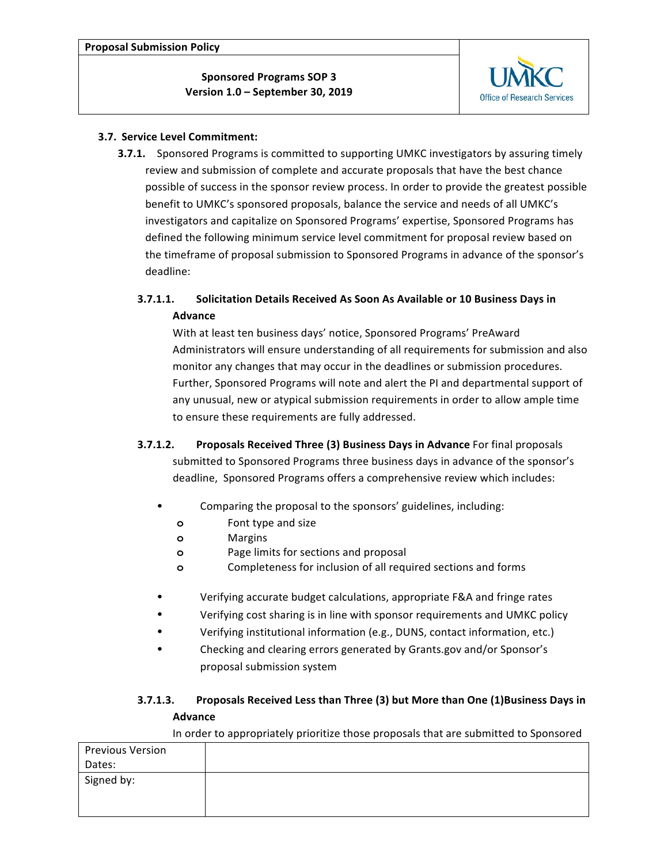

### **3.7. Service Level Commitment:**

**3.7.1.** Sponsored Programs is committed to supporting UMKC investigators by assuring timely review and submission of complete and accurate proposals that have the best chance possible of success in the sponsor review process. In order to provide the greatest possible benefit to UMKC's sponsored proposals, balance the service and needs of all UMKC's investigators and capitalize on Sponsored Programs' expertise, Sponsored Programs has defined the following minimum service level commitment for proposal review based on the timeframe of proposal submission to Sponsored Programs in advance of the sponsor's deadline:

# **3.7.1.1.** Solicitation Details Received As Soon As Available or 10 Business Days in **Advance**

With at least ten business days' notice, Sponsored Programs' PreAward Administrators will ensure understanding of all requirements for submission and also monitor any changes that may occur in the deadlines or submission procedures. Further, Sponsored Programs will note and alert the PI and departmental support of any unusual, new or atypical submission requirements in order to allow ample time to ensure these requirements are fully addressed.

- **3.7.1.2. Proposals Received Three (3) Business Days in Advance** For final proposals submitted to Sponsored Programs three business days in advance of the sponsor's deadline, Sponsored Programs offers a comprehensive review which includes:
	- Comparing the proposal to the sponsors' guidelines, including:
		- **o** Font type and size
		- **o** Margins
		- **o** Page limits for sections and proposal
		- **o** Completeness for inclusion of all required sections and forms
	- Verifying accurate budget calculations, appropriate F&A and fringe rates
	- Verifying cost sharing is in line with sponsor requirements and UMKC policy
	- Verifying institutional information (e.g., DUNS, contact information, etc.)
	- Checking and clearing errors generated by Grants.gov and/or Sponsor's proposal submission system

# **3.7.1.3.** Proposals Received Less than Three (3) but More than One (1)Business Days in **Advance**

In order to appropriately prioritize those proposals that are submitted to Sponsored

| <b>Previous Version</b> |  |  |
|-------------------------|--|--|
| Dates:                  |  |  |
| Signed by:              |  |  |
|                         |  |  |
|                         |  |  |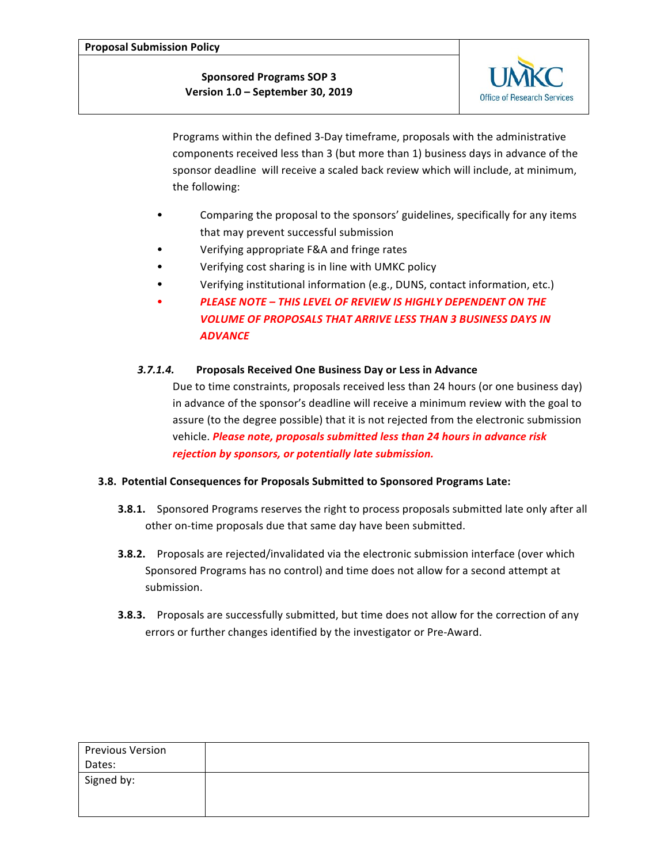**Proposal Submission Policy**

**Sponsored Programs SOP 3 Version 1.0 – September 30, 2019**



Programs within the defined 3-Day timeframe, proposals with the administrative components received less than 3 (but more than 1) business days in advance of the sponsor deadline will receive a scaled back review which will include, at minimum, the following:

- Comparing the proposal to the sponsors' guidelines, specifically for any items that may prevent successful submission
- Verifying appropriate F&A and fringe rates
- Verifying cost sharing is in line with UMKC policy
- Verifying institutional information (e.g., DUNS, contact information, etc.)
- **PLEASE NOTE THIS LEVEL OF REVIEW IS HIGHLY DEPENDENT ON THE VOLUME OF PROPOSALS THAT ARRIVE LESS THAN 3 BUSINESS DAYS IN** *ADVANCE*

### *3.7.1.4.* **Proposals Received One Business Day or Less in Advance**

Due to time constraints, proposals received less than 24 hours (or one business day) in advance of the sponsor's deadline will receive a minimum review with the goal to assure (to the degree possible) that it is not rejected from the electronic submission vehicle. *Please note, proposals submitted less than 24 hours in advance risk rejection by sponsors, or potentially late submission.*

### **3.8. Potential Consequences for Proposals Submitted to Sponsored Programs Late:**

- **3.8.1.** Sponsored Programs reserves the right to process proposals submitted late only after all other on-time proposals due that same day have been submitted.
- **3.8.2.** Proposals are rejected/invalidated via the electronic submission interface (over which Sponsored Programs has no control) and time does not allow for a second attempt at submission.
- **3.8.3.** Proposals are successfully submitted, but time does not allow for the correction of any errors or further changes identified by the investigator or Pre-Award.

| <b>Previous Version</b> |  |
|-------------------------|--|
| Dates:                  |  |
| Signed by:              |  |
|                         |  |
|                         |  |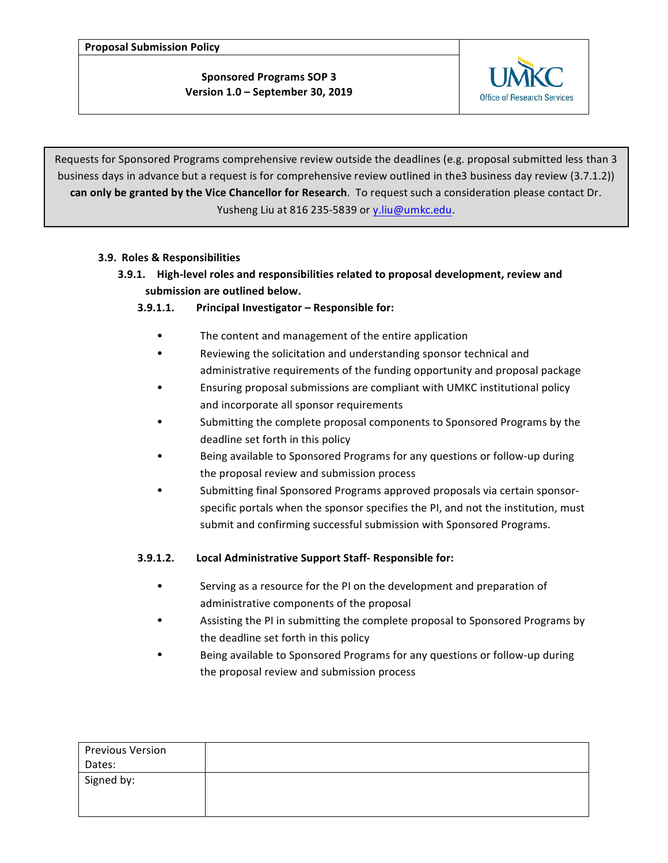**Proposal Submission Policy**

**Sponsored Programs SOP 3 Version 1.0 – September 30, 2019**



Requests for Sponsored Programs comprehensive review outside the deadlines (e.g. proposal submitted less than 3 business days in advance but a request is for comprehensive review outlined in the3 business day review (3.7.1.2)) **can only be granted by the Vice Chancellor for Research**. To request such a consideration please contact Dr. Yusheng Liu at 816 235-5839 or y.liu@umkc.edu.

# **3.9. Roles & Responsibilities**

**3.9.1.** High-level roles and responsibilities related to proposal development, review and submission are outlined below.

# **3.9.1.1.** Principal Investigator – Responsible for:

- The content and management of the entire application
- Reviewing the solicitation and understanding sponsor technical and administrative requirements of the funding opportunity and proposal package
- Ensuring proposal submissions are compliant with UMKC institutional policy and incorporate all sponsor requirements
- Submitting the complete proposal components to Sponsored Programs by the deadline set forth in this policy
- Being available to Sponsored Programs for any questions or follow-up during the proposal review and submission process
- Submitting final Sponsored Programs approved proposals via certain sponsorspecific portals when the sponsor specifies the PI, and not the institution, must submit and confirming successful submission with Sponsored Programs.

## **3.9.1.2. Local Administrative Support Staff- Responsible for:**

- Serving as a resource for the PI on the development and preparation of administrative components of the proposal
- Assisting the PI in submitting the complete proposal to Sponsored Programs by the deadline set forth in this policy
- Being available to Sponsored Programs for any questions or follow-up during the proposal review and submission process

| <b>Previous Version</b> |  |
|-------------------------|--|
| Dates:                  |  |
| Signed by:              |  |
|                         |  |
|                         |  |